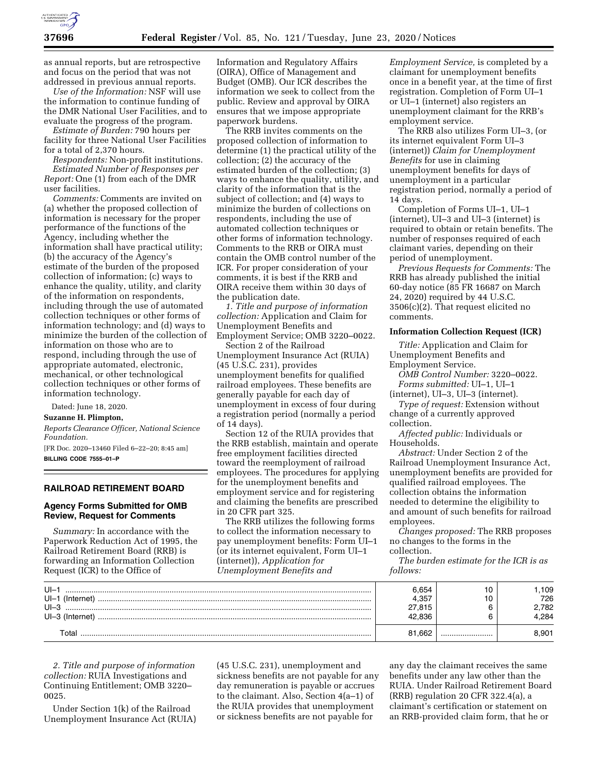

as annual reports, but are retrospective and focus on the period that was not addressed in previous annual reports.

*Use of the Information:* NSF will use the information to continue funding of the DMR National User Facilities, and to evaluate the progress of the program.

*Estimate of Burden:* 790 hours per facility for three National User Facilities for a total of 2,370 hours.

*Respondents:* Non-profit institutions. *Estimated Number of Responses per Report:* One (1) from each of the DMR user facilities.

*Comments:* Comments are invited on (a) whether the proposed collection of information is necessary for the proper performance of the functions of the Agency, including whether the information shall have practical utility; (b) the accuracy of the Agency's estimate of the burden of the proposed collection of information; (c) ways to enhance the quality, utility, and clarity of the information on respondents, including through the use of automated collection techniques or other forms of information technology; and (d) ways to minimize the burden of the collection of information on those who are to respond, including through the use of appropriate automated, electronic, mechanical, or other technological collection techniques or other forms of information technology.

Dated: June 18, 2020.

# **Suzanne H. Plimpton,**

*Reports Clearance Officer, National Science Foundation.* 

[FR Doc. 2020–13460 Filed 6–22–20; 8:45 am] **BILLING CODE 7555–01–P** 

## **RAILROAD RETIREMENT BOARD**

# **Agency Forms Submitted for OMB Review, Request for Comments**

*Summary:* In accordance with the Paperwork Reduction Act of 1995, the Railroad Retirement Board (RRB) is forwarding an Information Collection Request (ICR) to the Office of

Information and Regulatory Affairs (OIRA), Office of Management and Budget (OMB). Our ICR describes the information we seek to collect from the public. Review and approval by OIRA ensures that we impose appropriate paperwork burdens.

The RRB invites comments on the proposed collection of information to determine (1) the practical utility of the collection; (2) the accuracy of the estimated burden of the collection; (3) ways to enhance the quality, utility, and clarity of the information that is the subject of collection; and (4) ways to minimize the burden of collections on respondents, including the use of automated collection techniques or other forms of information technology. Comments to the RRB or OIRA must contain the OMB control number of the ICR. For proper consideration of your comments, it is best if the RRB and OIRA receive them within 30 days of the publication date.

*1. Title and purpose of information collection:* Application and Claim for Unemployment Benefits and Employment Service; OMB 3220–0022.

Section 2 of the Railroad Unemployment Insurance Act (RUIA) (45 U.S.C. 231), provides unemployment benefits for qualified railroad employees. These benefits are generally payable for each day of unemployment in excess of four during a registration period (normally a period of 14 days).

Section 12 of the RUIA provides that the RRB establish, maintain and operate free employment facilities directed toward the reemployment of railroad employees. The procedures for applying for the unemployment benefits and employment service and for registering and claiming the benefits are prescribed in 20 CFR part 325.

The RRB utilizes the following forms to collect the information necessary to pay unemployment benefits: Form UI–1 (or its internet equivalent, Form UI–1 (internet)), *Application for Unemployment Benefits and* 

*Employment Service,* is completed by a claimant for unemployment benefits once in a benefit year, at the time of first registration. Completion of Form UI–1 or UI–1 (internet) also registers an unemployment claimant for the RRB's employment service.

The RRB also utilizes Form UI–3, (or its internet equivalent Form UI–3 (internet)) *Claim for Unemployment Benefits* for use in claiming unemployment benefits for days of unemployment in a particular registration period, normally a period of 14 days.

Completion of Forms UI–1, UI–1 (internet), UI–3 and UI–3 (internet) is required to obtain or retain benefits. The number of responses required of each claimant varies, depending on their period of unemployment.

*Previous Requests for Comments:* The RRB has already published the initial 60-day notice (85 FR 16687 on March 24, 2020) required by 44 U.S.C. 3506(c)(2). That request elicited no comments.

## **Information Collection Request (ICR)**

*Title:* Application and Claim for Unemployment Benefits and Employment Service.

*OMB Control Number:* 3220–0022. *Forms submitted:* UI–1, UI–1 (internet), UI–3, UI–3 (internet).

*Type of request:* Extension without change of a currently approved collection.

*Affected public:* Individuals or Households.

*Abstract:* Under Section 2 of the Railroad Unemployment Insurance Act, unemployment benefits are provided for qualified railroad employees. The collection obtains the information needed to determine the eligibility to and amount of such benefits for railroad employees.

*Changes proposed:* The RRB proposes no changes to the forms in the collection.

*The burden estimate for the ICR is as follows:* 

| $U -$<br>$UI-1$<br>(Internet) | 6.654 | v | 109<br>726  |
|-------------------------------|-------|---|-------------|
| $U - 3$<br>UI-3 (Internet)    |       |   | 782<br>.284 |
| ⊺ิ∩†ลเ                        | .662  |   | .901        |

*2. Title and purpose of information collection:* RUIA Investigations and Continuing Entitlement; OMB 3220– 0025.

Under Section 1(k) of the Railroad Unemployment Insurance Act (RUIA) (45 U.S.C. 231), unemployment and sickness benefits are not payable for any day remuneration is payable or accrues to the claimant. Also, Section 4(a–1) of the RUIA provides that unemployment or sickness benefits are not payable for

any day the claimant receives the same benefits under any law other than the RUIA. Under Railroad Retirement Board (RRB) regulation 20 CFR 322.4(a), a claimant's certification or statement on an RRB-provided claim form, that he or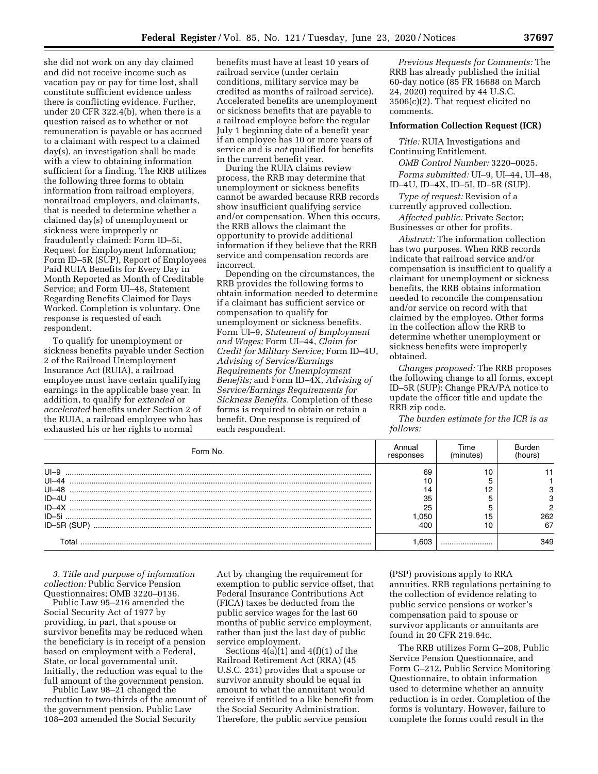she did not work on any day claimed and did not receive income such as vacation pay or pay for time lost, shall constitute sufficient evidence unless there is conflicting evidence. Further, under 20 CFR 322.4(b), when there is a question raised as to whether or not remuneration is payable or has accrued to a claimant with respect to a claimed day(s), an investigation shall be made with a view to obtaining information sufficient for a finding. The RRB utilizes the following three forms to obtain information from railroad employers, nonrailroad employers, and claimants, that is needed to determine whether a claimed day(s) of unemployment or sickness were improperly or fraudulently claimed: Form ID–5i, Request for Employment Information; Form ID–5R (SUP), Report of Employees Paid RUIA Benefits for Every Day in Month Reported as Month of Creditable Service; and Form UI–48, Statement Regarding Benefits Claimed for Days Worked. Completion is voluntary. One response is requested of each respondent.

To qualify for unemployment or sickness benefits payable under Section 2 of the Railroad Unemployment Insurance Act (RUIA), a railroad employee must have certain qualifying earnings in the applicable base year. In addition, to qualify for *extended* or *accelerated* benefits under Section 2 of the RUIA, a railroad employee who has exhausted his or her rights to normal

benefits must have at least 10 years of railroad service (under certain conditions, military service may be credited as months of railroad service). Accelerated benefits are unemployment or sickness benefits that are payable to a railroad employee before the regular July 1 beginning date of a benefit year if an employee has 10 or more years of service and is *not* qualified for benefits in the current benefit year.

During the RUIA claims review process, the RRB may determine that unemployment or sickness benefits cannot be awarded because RRB records show insufficient qualifying service and/or compensation. When this occurs, the RRB allows the claimant the opportunity to provide additional information if they believe that the RRB service and compensation records are incorrect.

Depending on the circumstances, the RRB provides the following forms to obtain information needed to determine if a claimant has sufficient service or compensation to qualify for unemployment or sickness benefits. Form UI–9, *Statement of Employment and Wages;* Form UI–44, *Claim for Credit for Military Service;* Form ID–4U, *Advising of Service/Earnings Requirements for Unemployment Benefits;* and Form ID–4X, *Advising of Service/Earnings Requirements for Sickness Benefits.* Completion of these forms is required to obtain or retain a benefit. One response is required of each respondent.

*Previous Requests for Comments:* The RRB has already published the initial 60-day notice (85 FR 16688 on March 24, 2020) required by 44 U.S.C. 3506(c)(2). That request elicited no comments.

#### **Information Collection Request (ICR)**

*Title:* RUIA Investigations and Continuing Entitlement.

*OMB Control Number:* 3220–0025.

*Forms submitted:* UI–9, UI–44, UI–48, ID–4U, ID–4X, ID–5I, ID–5R (SUP).

*Type of request:* Revision of a currently approved collection.

*Affected public:* Private Sector; Businesses or other for profits.

*Abstract:* The information collection has two purposes. When RRB records indicate that railroad service and/or compensation is insufficient to qualify a claimant for unemployment or sickness benefits, the RRB obtains information needed to reconcile the compensation and/or service on record with that claimed by the employee. Other forms in the collection allow the RRB to determine whether unemployment or sickness benefits were improperly obtained.

*Changes proposed:* The RRB proposes the following change to all forms, except ID–5R (SUP): Change PRA/PA notice to update the officer title and update the RRB zip code.

*The burden estimate for the ICR is as follows:* 

| Form No.  | Annual<br>responses | Time<br>(minutes) | Burden<br>(hours) |
|-----------|---------------------|-------------------|-------------------|
| $U - 9$   | 69                  |                   |                   |
| $UI - 44$ |                     |                   |                   |
| $UI - 48$ | 14                  |                   |                   |
| $ID-4U$   | 35                  |                   |                   |
|           | 25                  |                   |                   |
|           | .050                |                   | 262               |
|           | 400                 |                   | 67                |
| ⊺otal     | -603                |                   | 349               |

*3. Title and purpose of information collection:* Public Service Pension Questionnaires; OMB 3220–0136.

Public Law 95–216 amended the Social Security Act of 1977 by providing, in part, that spouse or survivor benefits may be reduced when the beneficiary is in receipt of a pension based on employment with a Federal, State, or local governmental unit. Initially, the reduction was equal to the full amount of the government pension.

Public Law 98–21 changed the reduction to two-thirds of the amount of the government pension. Public Law 108–203 amended the Social Security

Act by changing the requirement for exemption to public service offset, that Federal Insurance Contributions Act (FICA) taxes be deducted from the public service wages for the last 60 months of public service employment, rather than just the last day of public service employment.

Sections  $4(a)(1)$  and  $4(f)(1)$  of the Railroad Retirement Act (RRA) (45 U.S.C. 231) provides that a spouse or survivor annuity should be equal in amount to what the annuitant would receive if entitled to a like benefit from the Social Security Administration. Therefore, the public service pension

(PSP) provisions apply to RRA annuities. RRB regulations pertaining to the collection of evidence relating to public service pensions or worker's compensation paid to spouse or survivor applicants or annuitants are found in 20 CFR 219.64c.

The RRB utilizes Form G–208, Public Service Pension Questionnaire, and Form G–212, Public Service Monitoring Questionnaire, to obtain information used to determine whether an annuity reduction is in order. Completion of the forms is voluntary. However, failure to complete the forms could result in the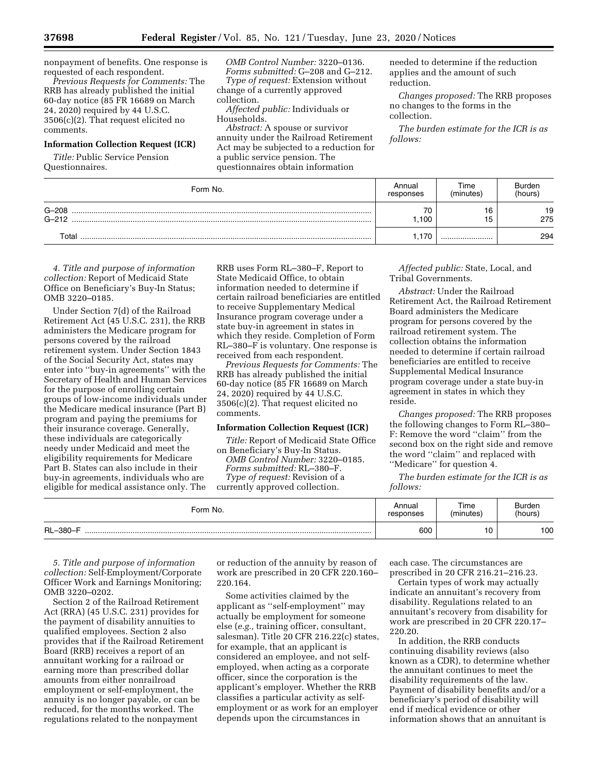nonpayment of benefits. One response is requested of each respondent.

*Previous Requests for Comments:* The RRB has already published the initial 60-day notice (85 FR 16689 on March 24, 2020) required by 44 U.S.C. 3506(c)(2). That request elicited no comments.

# **Information Collection Request (ICR)**

*Title:* Public Service Pension Questionnaires.

*OMB Control Number:* 3220–0136. *Forms submitted:* G–208 and G–212. *Type of request:* Extension without change of a currently approved

collection. *Affected public:* Individuals or Households.

*Abstract:* A spouse or survivor annuity under the Railroad Retirement Act may be subjected to a reduction for a public service pension. The questionnaires obtain information

needed to determine if the reduction applies and the amount of such reduction.

*Changes proposed:* The RRB proposes no changes to the forms in the collection.

*The burden estimate for the ICR is as follows:* 

| Form No.               | Annual<br>responses | Time<br>(minutes) | Burden<br>(hours) |
|------------------------|---------------------|-------------------|-------------------|
| $G - 208$<br>$G - 212$ | 70<br>100           | 16<br>15          | 19<br>275         |
| Total                  | 170                 |                   | 294               |

*4. Title and purpose of information collection:* Report of Medicaid State Office on Beneficiary's Buy-In Status; OMB 3220–0185.

Under Section 7(d) of the Railroad Retirement Act (45 U.S.C. 231), the RRB administers the Medicare program for persons covered by the railroad retirement system. Under Section 1843 of the Social Security Act, states may enter into ''buy-in agreements'' with the Secretary of Health and Human Services for the purpose of enrolling certain groups of low-income individuals under the Medicare medical insurance (Part B) program and paying the premiums for their insurance coverage. Generally, these individuals are categorically needy under Medicaid and meet the eligibility requirements for Medicare Part B. States can also include in their buy-in agreements, individuals who are eligible for medical assistance only. The RRB uses Form RL–380–F, Report to State Medicaid Office, to obtain information needed to determine if certain railroad beneficiaries are entitled to receive Supplementary Medical Insurance program coverage under a state buy-in agreement in states in which they reside. Completion of Form RL–380–F is voluntary. One response is received from each respondent.

*Previous Requests for Comments:* The RRB has already published the initial 60-day notice (85 FR 16689 on March 24, 2020) required by 44 U.S.C. 3506(c)(2). That request elicited no comments.

## **Information Collection Request (ICR)**

*Title:* Report of Medicaid State Office

on Beneficiary's Buy-In Status. *OMB Control Number:* 3220–0185. *Forms submitted:* RL–380–F. *Type of request:* Revision of a

currently approved collection.

*Affected public:* State, Local, and Tribal Governments.

*Abstract:* Under the Railroad Retirement Act, the Railroad Retirement Board administers the Medicare program for persons covered by the railroad retirement system. The collection obtains the information needed to determine if certain railroad beneficiaries are entitled to receive Supplemental Medical Insurance program coverage under a state buy-in agreement in states in which they reside.

*Changes proposed:* The RRB proposes the following changes to Form RL–380– F: Remove the word ''claim'' from the second box on the right side and remove the word ''claim'' and replaced with ''Medicare'' for question 4.

*The burden estimate for the ICR is as follows:* 

| Form No. | Annual    | Time      | Burden  |
|----------|-----------|-----------|---------|
|          | responses | (minutes) | (hours) |
| RL-380-F | 600       | 10        | 100     |

*5. Title and purpose of information collection:* Self-Employment/Corporate Officer Work and Earnings Monitoring; OMB 3220–0202.

Section 2 of the Railroad Retirement Act (RRA) (45 U.S.C. 231) provides for the payment of disability annuities to qualified employees. Section 2 also provides that if the Railroad Retirement Board (RRB) receives a report of an annuitant working for a railroad or earning more than prescribed dollar amounts from either nonrailroad employment or self-employment, the annuity is no longer payable, or can be reduced, for the months worked. The regulations related to the nonpayment

or reduction of the annuity by reason of work are prescribed in 20 CFR 220.160– 220.164.

Some activities claimed by the applicant as ''self-employment'' may actually be employment for someone else (*e.g.,* training officer, consultant, salesman). Title 20 CFR 216.22(c) states, for example, that an applicant is considered an employee, and not selfemployed, when acting as a corporate officer, since the corporation is the applicant's employer. Whether the RRB classifies a particular activity as selfemployment or as work for an employer depends upon the circumstances in

each case. The circumstances are prescribed in 20 CFR 216.21–216.23.

Certain types of work may actually indicate an annuitant's recovery from disability. Regulations related to an annuitant's recovery from disability for work are prescribed in 20 CFR 220.17– 220.20.

In addition, the RRB conducts continuing disability reviews (also known as a CDR), to determine whether the annuitant continues to meet the disability requirements of the law. Payment of disability benefits and/or a beneficiary's period of disability will end if medical evidence or other information shows that an annuitant is